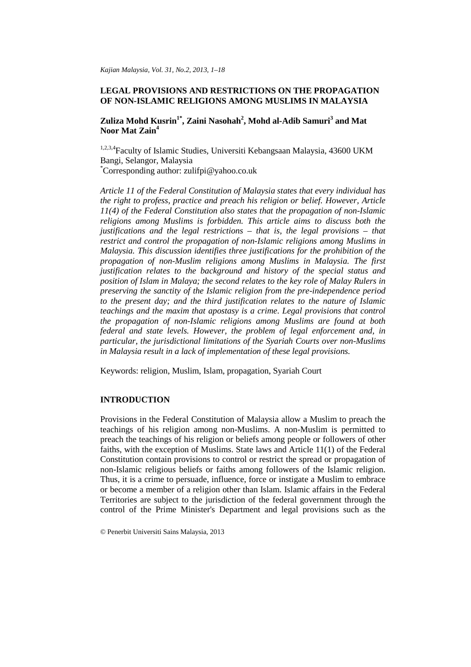# **LEGAL PROVISIONS AND RESTRICTIONS ON THE PROPAGATION OF NON-ISLAMIC RELIGIONS AMONG MUSLIMS IN MALAYSIA**

**Zuliza Mohd Kusrin1\* , Zaini Nasohah2 , Mohd al-Adib Samuri<sup>3</sup> and Mat Noor Mat Zain4**

1,2,3,4Faculty of Islamic Studies, Universiti Kebangsaan Malaysia, 43600 UKM Bangi, Selangor, Malaysia \* Corresponding author: zulifpi@yahoo.co.uk

*Article 11 of the Federal Constitution of Malaysia states that every individual has the right to profess, practice and preach his religion or belief. However, Article 11(4) of the Federal Constitution also states that the propagation of non-Islamic religions among Muslims is forbidden. This article aims to discuss both the justifications and the legal restrictions – that is, the legal provisions – that restrict and control the propagation of non-Islamic religions among Muslims in Malaysia. This discussion identifies three justifications for the prohibition of the propagation of non-Muslim religions among Muslims in Malaysia. The first justification relates to the background and history of the special status and position of Islam in Malaya; the second relates to the key role of Malay Rulers in preserving the sanctity of the Islamic religion from the pre-independence period to the present day; and the third justification relates to the nature of Islamic teachings and the maxim that apostasy is a crime. Legal provisions that control the propagation of non-Islamic religions among Muslims are found at both federal and state levels. However, the problem of legal enforcement and, in particular, the jurisdictional limitations of the Syariah Courts over non-Muslims in Malaysia result in a lack of implementation of these legal provisions.*

Keywords: religion, Muslim, Islam, propagation, Syariah Court

# **INTRODUCTION**

Provisions in the Federal Constitution of Malaysia allow a Muslim to preach the teachings of his religion among non-Muslims. A non-Muslim is permitted to preach the teachings of his religion or beliefs among people or followers of other faiths, with the exception of Muslims. State laws and Article 11(1) of the Federal Constitution contain provisions to control or restrict the spread or propagation of non-Islamic religious beliefs or faiths among followers of the Islamic religion. Thus, it is a crime to persuade, influence, force or instigate a Muslim to embrace or become a member of a religion other than Islam. Islamic affairs in the Federal Territories are subject to the jurisdiction of the federal government through the control of the Prime Minister's Department and legal provisions such as the

© Penerbit Universiti Sains Malaysia, 2013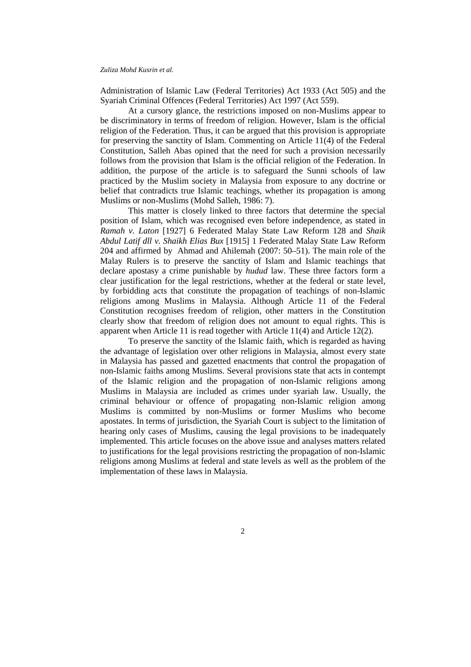Administration of Islamic Law (Federal Territories) Act 1933 (Act 505) and the Syariah Criminal Offences (Federal Territories) Act 1997 (Act 559).

At a cursory glance, the restrictions imposed on non-Muslims appear to be discriminatory in terms of freedom of religion. However, Islam is the official religion of the Federation. Thus, it can be argued that this provision is appropriate for preserving the sanctity of Islam. Commenting on Article 11(4) of the Federal Constitution, Salleh Abas opined that the need for such a provision necessarily follows from the provision that Islam is the official religion of the Federation. In addition, the purpose of the article is to safeguard the Sunni schools of law practiced by the Muslim society in Malaysia from exposure to any doctrine or belief that contradicts true Islamic teachings, whether its propagation is among Muslims or non-Muslims (Mohd Salleh, 1986: 7).

This matter is closely linked to three factors that determine the special position of Islam, which was recognised even before independence, as stated in *Ramah v. Laton* [1927] 6 Federated Malay State Law Reform 128 and *Shaik Abdul Latif dll v. Shaikh Elias Bux* [1915] 1 Federated Malay State Law Reform 204 and affirmed by Ahmad and Ahilemah (2007: 50–51). The main role of the Malay Rulers is to preserve the sanctity of Islam and Islamic teachings that declare apostasy a crime punishable by *hudud* law. These three factors form a clear justification for the legal restrictions, whether at the federal or state level, by forbidding acts that constitute the propagation of teachings of non-Islamic religions among Muslims in Malaysia. Although Article 11 of the Federal Constitution recognises freedom of religion, other matters in the Constitution clearly show that freedom of religion does not amount to equal rights. This is apparent when Article 11 is read together with Article 11(4) and Article 12(2).

To preserve the sanctity of the Islamic faith, which is regarded as having the advantage of legislation over other religions in Malaysia, almost every state in Malaysia has passed and gazetted enactments that control the propagation of non-Islamic faiths among Muslims. Several provisions state that acts in contempt of the Islamic religion and the propagation of non-Islamic religions among Muslims in Malaysia are included as crimes under syariah law. Usually, the criminal behaviour or offence of propagating non-Islamic religion among Muslims is committed by non-Muslims or former Muslims who become apostates. In terms of jurisdiction, the Syariah Court is subject to the limitation of hearing only cases of Muslims, causing the legal provisions to be inadequately implemented. This article focuses on the above issue and analyses matters related to justifications for the legal provisions restricting the propagation of non-Islamic religions among Muslims at federal and state levels as well as the problem of the implementation of these laws in Malaysia.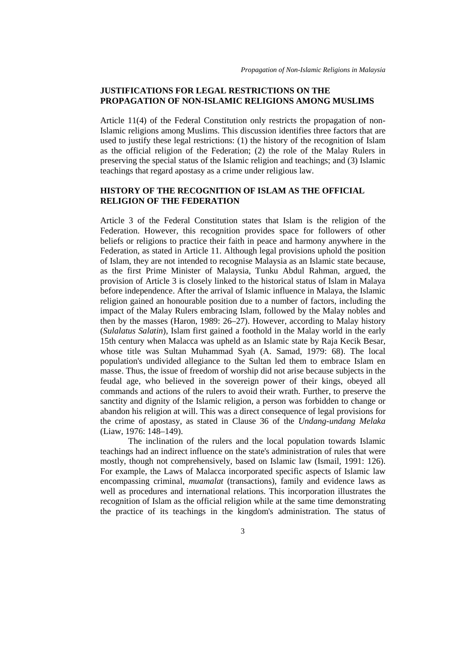# **JUSTIFICATIONS FOR LEGAL RESTRICTIONS ON THE PROPAGATION OF NON-ISLAMIC RELIGIONS AMONG MUSLIMS**

Article 11(4) of the Federal Constitution only restricts the propagation of non-Islamic religions among Muslims. This discussion identifies three factors that are used to justify these legal restrictions: (1) the history of the recognition of Islam as the official religion of the Federation; (2) the role of the Malay Rulers in preserving the special status of the Islamic religion and teachings; and (3) Islamic teachings that regard apostasy as a crime under religious law.

# **HISTORY OF THE RECOGNITION OF ISLAM AS THE OFFICIAL RELIGION OF THE FEDERATION**

Article 3 of the Federal Constitution states that Islam is the religion of the Federation. However, this recognition provides space for followers of other beliefs or religions to practice their faith in peace and harmony anywhere in the Federation, as stated in Article 11. Although legal provisions uphold the position of Islam, they are not intended to recognise Malaysia as an Islamic state because, as the first Prime Minister of Malaysia, Tunku Abdul Rahman, argued, the provision of Article 3 is closely linked to the historical status of Islam in Malaya before independence. After the arrival of Islamic influence in Malaya, the Islamic religion gained an honourable position due to a number of factors, including the impact of the Malay Rulers embracing Islam, followed by the Malay nobles and then by the masses (Haron, 1989: 26–27). However, according to Malay history (*Sulalatus Salatin*), Islam first gained a foothold in the Malay world in the early 15th century when Malacca was upheld as an Islamic state by Raja Kecik Besar, whose title was Sultan Muhammad Syah (A. Samad, 1979: 68). The local population's undivided allegiance to the Sultan led them to embrace Islam en masse. Thus, the issue of freedom of worship did not arise because subjects in the feudal age, who believed in the sovereign power of their kings, obeyed all commands and actions of the rulers to avoid their wrath. Further, to preserve the sanctity and dignity of the Islamic religion, a person was forbidden to change or abandon his religion at will. This was a direct consequence of legal provisions for the crime of apostasy, as stated in Clause 36 of the *Undang-undang Melaka* (Liaw, 1976: 148–149).

The inclination of the rulers and the local population towards Islamic teachings had an indirect influence on the state's administration of rules that were mostly, though not comprehensively, based on Islamic law (Ismail, 1991: 126). For example, the Laws of Malacca incorporated specific aspects of Islamic law encompassing criminal, *muamalat* (transactions), family and evidence laws as well as procedures and international relations. This incorporation illustrates the recognition of Islam as the official religion while at the same time demonstrating the practice of its teachings in the kingdom's administration. The status of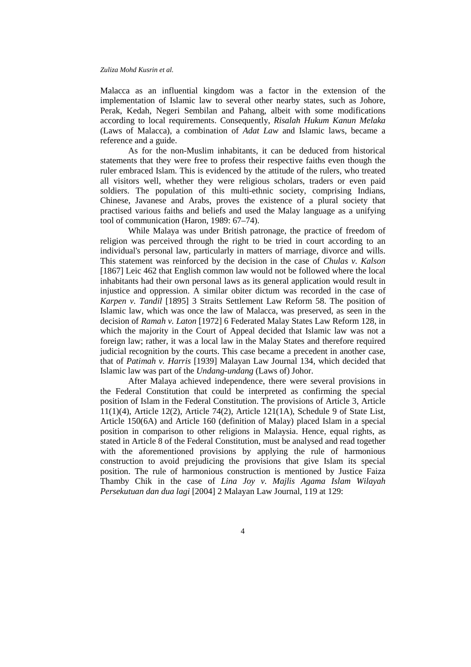Malacca as an influential kingdom was a factor in the extension of the implementation of Islamic law to several other nearby states, such as Johore, Perak, Kedah, Negeri Sembilan and Pahang, albeit with some modifications according to local requirements. Consequently, *Risalah Hukum Kanun Melaka* (Laws of Malacca), a combination of *Adat Law* and Islamic laws, became a reference and a guide.

As for the non-Muslim inhabitants, it can be deduced from historical statements that they were free to profess their respective faiths even though the ruler embraced Islam. This is evidenced by the attitude of the rulers, who treated all visitors well, whether they were religious scholars, traders or even paid soldiers. The population of this multi-ethnic society, comprising Indians, Chinese, Javanese and Arabs, proves the existence of a plural society that practised various faiths and beliefs and used the Malay language as a unifying tool of communication (Haron, 1989: 67–74).

While Malaya was under British patronage, the practice of freedom of religion was perceived through the right to be tried in court according to an individual's personal law, particularly in matters of marriage, divorce and wills. This statement was reinforced by the decision in the case of *Chulas v. Kalson* [1867] Leic 462 that English common law would not be followed where the local inhabitants had their own personal laws as its general application would result in injustice and oppression. A similar obiter dictum was recorded in the case of *Karpen v. Tandil* [1895] 3 Straits Settlement Law Reform 58. The position of Islamic law, which was once the law of Malacca, was preserved, as seen in the decision of *Ramah v. Laton* [1972] 6 Federated Malay States Law Reform 128, in which the majority in the Court of Appeal decided that Islamic law was not a foreign law; rather, it was a local law in the Malay States and therefore required judicial recognition by the courts. This case became a precedent in another case, that of *Patimah v. Harris* [1939] Malayan Law Journal 134, which decided that Islamic law was part of the *Undang-undang* (Laws of) Johor.

After Malaya achieved independence, there were several provisions in the Federal Constitution that could be interpreted as confirming the special position of Islam in the Federal Constitution. The provisions of Article 3, Article 11(1)(4), Article 12(2), Article 74(2), Article 121(1A), Schedule 9 of State List, Article 150(6A) and Article 160 (definition of Malay) placed Islam in a special position in comparison to other religions in Malaysia. Hence, equal rights, as stated in Article 8 of the Federal Constitution, must be analysed and read together with the aforementioned provisions by applying the rule of harmonious construction to avoid prejudicing the provisions that give Islam its special position. The rule of harmonious construction is mentioned by Justice Faiza Thamby Chik in the case of *Lina Joy v. Majlis Agama Islam Wilayah Persekutuan dan dua lagi* [2004] 2 Malayan Law Journal, 119 at 129: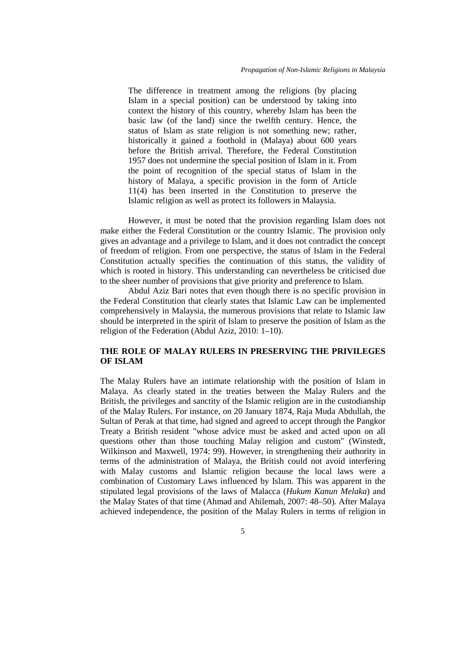The difference in treatment among the religions (by placing Islam in a special position) can be understood by taking into context the history of this country, whereby Islam has been the basic law (of the land) since the twelfth century. Hence, the status of Islam as state religion is not something new; rather, historically it gained a foothold in (Malaya) about 600 years before the British arrival. Therefore, the Federal Constitution 1957 does not undermine the special position of Islam in it. From the point of recognition of the special status of Islam in the history of Malaya, a specific provision in the form of Article 11(4) has been inserted in the Constitution to preserve the Islamic religion as well as protect its followers in Malaysia.

However, it must be noted that the provision regarding Islam does not make either the Federal Constitution or the country Islamic. The provision only gives an advantage and a privilege to Islam, and it does not contradict the concept of freedom of religion. From one perspective, the status of Islam in the Federal Constitution actually specifies the continuation of this status, the validity of which is rooted in history. This understanding can nevertheless be criticised due to the sheer number of provisions that give priority and preference to Islam.

Abdul Aziz Bari notes that even though there is no specific provision in the Federal Constitution that clearly states that Islamic Law can be implemented comprehensively in Malaysia, the numerous provisions that relate to Islamic law should be interpreted in the spirit of Islam to preserve the position of Islam as the religion of the Federation (Abdul Aziz, 2010: 1–10).

# **THE ROLE OF MALAY RULERS IN PRESERVING THE PRIVILEGES OF ISLAM**

The Malay Rulers have an intimate relationship with the position of Islam in Malaya. As clearly stated in the treaties between the Malay Rulers and the British, the privileges and sanctity of the Islamic religion are in the custodianship of the Malay Rulers. For instance, on 20 January 1874, Raja Muda Abdullah, the Sultan of Perak at that time, had signed and agreed to accept through the Pangkor Treaty a British resident "whose advice must be asked and acted upon on all questions other than those touching Malay religion and custom" (Winstedt, Wilkinson and Maxwell, 1974: 99). However, in strengthening their authority in terms of the administration of Malaya, the British could not avoid interfering with Malay customs and Islamic religion because the local laws were a combination of Customary Laws influenced by Islam. This was apparent in the stipulated legal provisions of the laws of Malacca (*Hukum Kanun Melaka*) and the Malay States of that time (Ahmad and Ahilemah, 2007: 48–50). After Malaya achieved independence, the position of the Malay Rulers in terms of religion in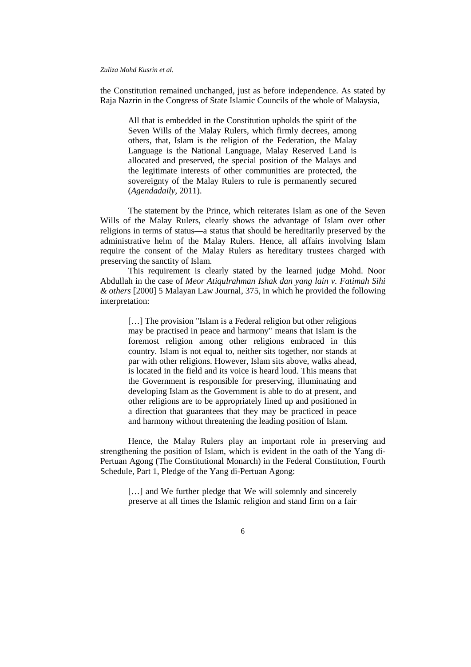the Constitution remained unchanged, just as before independence. As stated by Raja Nazrin in the Congress of State Islamic Councils of the whole of Malaysia,

All that is embedded in the Constitution upholds the spirit of the Seven Wills of the Malay Rulers, which firmly decrees, among others, that, Islam is the religion of the Federation, the Malay Language is the National Language, Malay Reserved Land is allocated and preserved, the special position of the Malays and the legitimate interests of other communities are protected, the sovereignty of the Malay Rulers to rule is permanently secured (*Agendadaily,* 2011).

The statement by the Prince, which reiterates Islam as one of the Seven Wills of the Malay Rulers, clearly shows the advantage of Islam over other religions in terms of status—a status that should be hereditarily preserved by the administrative helm of the Malay Rulers. Hence, all affairs involving Islam require the consent of the Malay Rulers as hereditary trustees charged with preserving the sanctity of Islam.

This requirement is clearly stated by the learned judge Mohd. Noor Abdullah in the case of *Meor Atiqulrahman Ishak dan yang lain v. Fatimah Sihi & others* [2000] 5 Malayan Law Journal, 375, in which he provided the following interpretation:

[...] The provision "Islam is a Federal religion but other religions may be practised in peace and harmony" means that Islam is the foremost religion among other religions embraced in this country. Islam is not equal to, neither sits together, nor stands at par with other religions. However, Islam sits above, walks ahead, is located in the field and its voice is heard loud. This means that the Government is responsible for preserving, illuminating and developing Islam as the Government is able to do at present, and other religions are to be appropriately lined up and positioned in a direction that guarantees that they may be practiced in peace and harmony without threatening the leading position of Islam.

Hence, the Malay Rulers play an important role in preserving and strengthening the position of Islam, which is evident in the oath of the Yang di-Pertuan Agong (The Constitutional Monarch) in the Federal Constitution, Fourth Schedule, Part 1, Pledge of the Yang di-Pertuan Agong:

[...] and We further pledge that We will solemnly and sincerely preserve at all times the Islamic religion and stand firm on a fair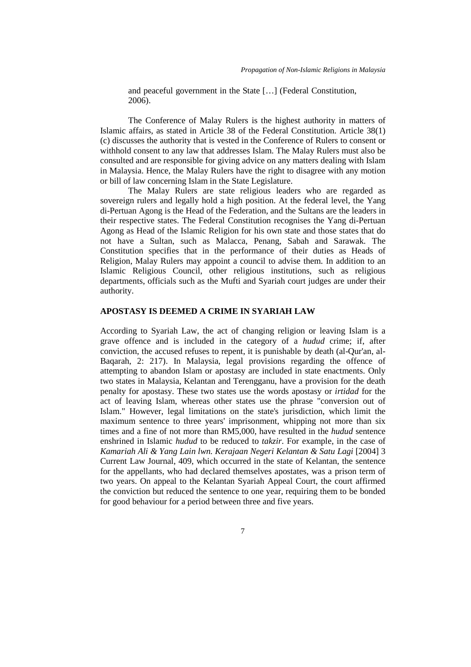and peaceful government in the State […] (Federal Constitution,  $2006$ ).

The Conference of Malay Rulers is the highest authority in matters of Islamic affairs, as stated in Article 38 of the Federal Constitution. Article 38(1) (c) discusses the authority that is vested in the Conference of Rulers to consent or withhold consent to any law that addresses Islam. The Malay Rulers must also be consulted and are responsible for giving advice on any matters dealing with Islam in Malaysia. Hence, the Malay Rulers have the right to disagree with any motion or bill of law concerning Islam in the State Legislature.

The Malay Rulers are state religious leaders who are regarded as sovereign rulers and legally hold a high position. At the federal level, the Yang di-Pertuan Agong is the Head of the Federation, and the Sultans are the leaders in their respective states. The Federal Constitution recognises the Yang di-Pertuan Agong as Head of the Islamic Religion for his own state and those states that do not have a Sultan, such as Malacca, Penang, Sabah and Sarawak. The Constitution specifies that in the performance of their duties as Heads of Religion, Malay Rulers may appoint a council to advise them. In addition to an Islamic Religious Council, other religious institutions, such as religious departments, officials such as the Mufti and Syariah court judges are under their authority.

# **APOSTASY IS DEEMED A CRIME IN SYARIAH LAW**

According to Syariah Law, the act of changing religion or leaving Islam is a grave offence and is included in the category of a *hudud* crime; if, after conviction, the accused refuses to repent, it is punishable by death (al-Qur'an, al-Baqarah, 2: 217). In Malaysia, legal provisions regarding the offence of attempting to abandon Islam or apostasy are included in state enactments. Only two states in Malaysia, Kelantan and Terengganu, have a provision for the death penalty for apostasy. These two states use the words apostasy or *irtidad* for the act of leaving Islam, whereas other states use the phrase "conversion out of Islam." However, legal limitations on the state's jurisdiction, which limit the maximum sentence to three years' imprisonment, whipping not more than six times and a fine of not more than RM5,000, have resulted in the *hudud* sentence enshrined in Islamic *hudud* to be reduced to *takzir*. For example, in the case of *Kamariah Ali & Yang Lain lwn. Kerajaan Negeri Kelantan & Satu Lagi* [2004] 3 Current Law Journal, 409, which occurred in the state of Kelantan, the sentence for the appellants, who had declared themselves apostates, was a prison term of two years. On appeal to the Kelantan Syariah Appeal Court, the court affirmed the conviction but reduced the sentence to one year, requiring them to be bonded for good behaviour for a period between three and five years.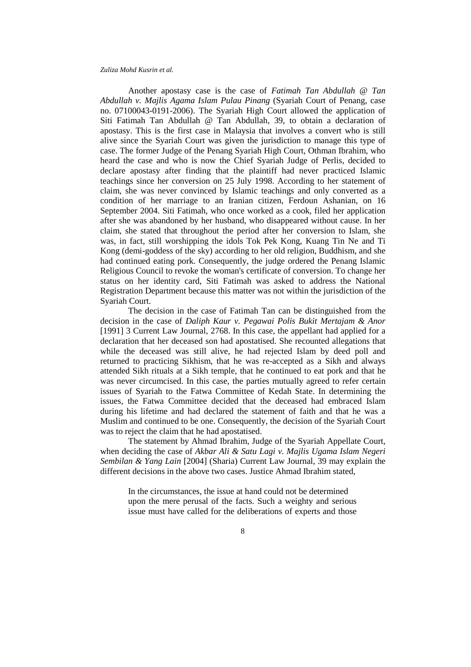Another apostasy case is the case of *Fatimah Tan Abdullah @ Tan Abdullah v. Majlis Agama Islam Pulau Pinang* (Syariah Court of Penang, case no. 07100043-0191-2006). The Syariah High Court allowed the application of Siti Fatimah Tan Abdullah @ Tan Abdullah, 39, to obtain a declaration of apostasy. This is the first case in Malaysia that involves a convert who is still alive since the Syariah Court was given the jurisdiction to manage this type of case. The former Judge of the Penang Syariah High Court, Othman Ibrahim, who heard the case and who is now the Chief Syariah Judge of Perlis, decided to declare apostasy after finding that the plaintiff had never practiced Islamic teachings since her conversion on 25 July 1998. According to her statement of claim, she was never convinced by Islamic teachings and only converted as a condition of her marriage to an Iranian citizen, Ferdoun Ashanian, on 16 September 2004. Siti Fatimah, who once worked as a cook, filed her application after she was abandoned by her husband, who disappeared without cause. In her claim, she stated that throughout the period after her conversion to Islam, she was, in fact, still worshipping the idols Tok Pek Kong, Kuang Tin Ne and Ti Kong (demi-goddess of the sky) according to her old religion, Buddhism, and she had continued eating pork. Consequently, the judge ordered the Penang Islamic Religious Council to revoke the woman's certificate of conversion. To change her status on her identity card, Siti Fatimah was asked to address the National Registration Department because this matter was not within the jurisdiction of the Syariah Court.

The decision in the case of Fatimah Tan can be distinguished from the decision in the case of *Daliph Kaur v. Pegawai Polis Bukit Mertajam & Anor* [1991] 3 Current Law Journal, 2768. In this case, the appellant had applied for a declaration that her deceased son had apostatised. She recounted allegations that while the deceased was still alive, he had rejected Islam by deed poll and returned to practicing Sikhism, that he was re-accepted as a Sikh and always attended Sikh rituals at a Sikh temple, that he continued to eat pork and that he was never circumcised. In this case, the parties mutually agreed to refer certain issues of Syariah to the Fatwa Committee of Kedah State. In determining the issues, the Fatwa Committee decided that the deceased had embraced Islam during his lifetime and had declared the statement of faith and that he was a Muslim and continued to be one. Consequently, the decision of the Syariah Court was to reject the claim that he had apostatised.

The statement by Ahmad Ibrahim, Judge of the Syariah Appellate Court, when deciding the case of *Akbar Ali & Satu Lagi v. Majlis Ugama Islam Negeri Sembilan & Yang Lain* [2004] (Sharia) Current Law Journal, 39 may explain the different decisions in the above two cases. Justice Ahmad Ibrahim stated,

In the circumstances, the issue at hand could not be determined upon the mere perusal of the facts. Such a weighty and serious issue must have called for the deliberations of experts and those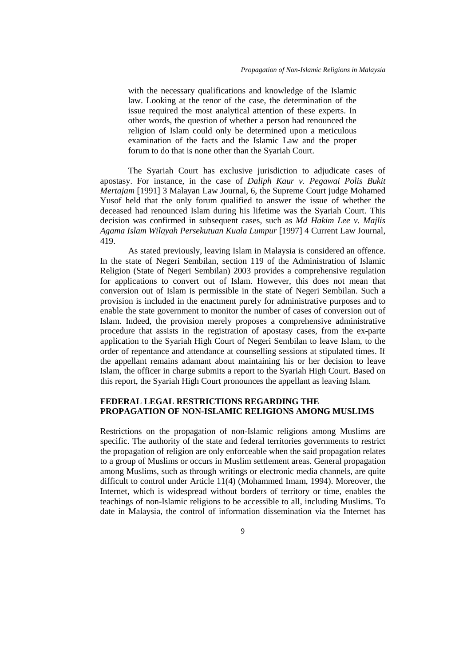with the necessary qualifications and knowledge of the Islamic law. Looking at the tenor of the case, the determination of the issue required the most analytical attention of these experts. In other words, the question of whether a person had renounced the religion of Islam could only be determined upon a meticulous examination of the facts and the Islamic Law and the proper forum to do that is none other than the Syariah Court.

The Syariah Court has exclusive jurisdiction to adjudicate cases of apostasy. For instance, in the case of *Daliph Kaur v. Pegawai Polis Bukit Mertajam* [1991] 3 Malayan Law Journal, 6, the Supreme Court judge Mohamed Yusof held that the only forum qualified to answer the issue of whether the deceased had renounced Islam during his lifetime was the Syariah Court. This decision was confirmed in subsequent cases, such as *Md Hakim Lee v. Majlis Agama Islam Wilayah Persekutuan Kuala Lumpur* [1997] 4 Current Law Journal, 419.

As stated previously, leaving Islam in Malaysia is considered an offence. In the state of Negeri Sembilan, section 119 of the Administration of Islamic Religion (State of Negeri Sembilan) 2003 provides a comprehensive regulation for applications to convert out of Islam. However, this does not mean that conversion out of Islam is permissible in the state of Negeri Sembilan. Such a provision is included in the enactment purely for administrative purposes and to enable the state government to monitor the number of cases of conversion out of Islam. Indeed, the provision merely proposes a comprehensive administrative procedure that assists in the registration of apostasy cases, from the ex-parte application to the Syariah High Court of Negeri Sembilan to leave Islam, to the order of repentance and attendance at counselling sessions at stipulated times. If the appellant remains adamant about maintaining his or her decision to leave Islam, the officer in charge submits a report to the Syariah High Court. Based on this report, the Syariah High Court pronounces the appellant as leaving Islam.

# **FEDERAL LEGAL RESTRICTIONS REGARDING THE PROPAGATION OF NON-ISLAMIC RELIGIONS AMONG MUSLIMS**

Restrictions on the propagation of non-Islamic religions among Muslims are specific. The authority of the state and federal territories governments to restrict the propagation of religion are only enforceable when the said propagation relates to a group of Muslims or occurs in Muslim settlement areas. General propagation among Muslims, such as through writings or electronic media channels, are quite difficult to control under Article 11(4) (Mohammed Imam, 1994). Moreover, the Internet, which is widespread without borders of territory or time, enables the teachings of non-Islamic religions to be accessible to all, including Muslims. To date in Malaysia, the control of information dissemination via the Internet has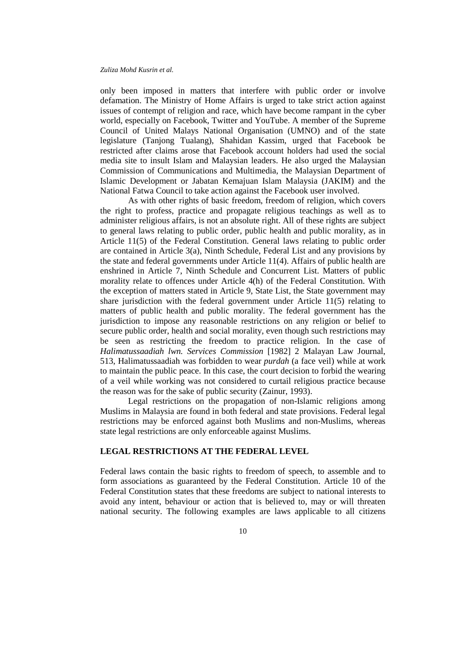only been imposed in matters that interfere with public order or involve defamation. The Ministry of Home Affairs is urged to take strict action against issues of contempt of religion and race, which have become rampant in the cyber world, especially on Facebook, Twitter and YouTube. A member of the Supreme Council of United Malays National Organisation (UMNO) and of the state legislature (Tanjong Tualang), Shahidan Kassim, urged that Facebook be restricted after claims arose that Facebook account holders had used the social media site to insult Islam and Malaysian leaders. He also urged the Malaysian Commission of Communications and Multimedia, the Malaysian Department of Islamic Development or Jabatan Kemajuan Islam Malaysia (JAKIM) and the National Fatwa Council to take action against the Facebook user involved.

As with other rights of basic freedom, freedom of religion, which covers the right to profess, practice and propagate religious teachings as well as to administer religious affairs, is not an absolute right. All of these rights are subject to general laws relating to public order, public health and public morality, as in Article 11(5) of the Federal Constitution. General laws relating to public order are contained in Article 3(a), Ninth Schedule, Federal List and any provisions by the state and federal governments under Article 11(4). Affairs of public health are enshrined in Article 7, Ninth Schedule and Concurrent List. Matters of public morality relate to offences under Article 4(h) of the Federal Constitution. With the exception of matters stated in Article 9, State List, the State government may share jurisdiction with the federal government under Article 11(5) relating to matters of public health and public morality. The federal government has the jurisdiction to impose any reasonable restrictions on any religion or belief to secure public order, health and social morality, even though such restrictions may be seen as restricting the freedom to practice religion. In the case of *Halimatussaadiah lwn. Services Commission* [1982] 2 Malayan Law Journal, 513, Halimatussaadiah was forbidden to wear *purdah* (a face veil) while at work to maintain the public peace. In this case, the court decision to forbid the wearing of a veil while working was not considered to curtail religious practice because the reason was for the sake of public security (Zainur, 1993).

Legal restrictions on the propagation of non-Islamic religions among Muslims in Malaysia are found in both federal and state provisions. Federal legal restrictions may be enforced against both Muslims and non-Muslims, whereas state legal restrictions are only enforceable against Muslims.

#### **LEGAL RESTRICTIONS AT THE FEDERAL LEVEL**

Federal laws contain the basic rights to freedom of speech, to assemble and to form associations as guaranteed by the Federal Constitution. Article 10 of the Federal Constitution states that these freedoms are subject to national interests to avoid any intent, behaviour or action that is believed to, may or will threaten national security. The following examples are laws applicable to all citizens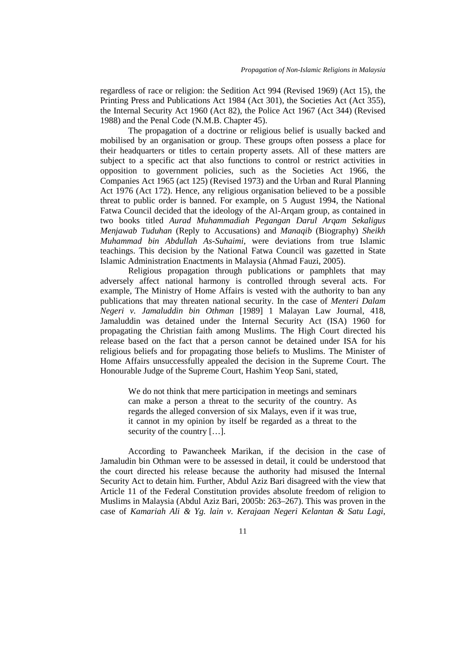regardless of race or religion: the Sedition Act 994 (Revised 1969) (Act 15), the Printing Press and Publications Act 1984 (Act 301), the Societies Act (Act 355), the Internal Security Act 1960 (Act 82), the Police Act 1967 (Act 344) (Revised 1988) and the Penal Code (N.M.B. Chapter 45).

The propagation of a doctrine or religious belief is usually backed and mobilised by an organisation or group. These groups often possess a place for their headquarters or titles to certain property assets. All of these matters are subject to a specific act that also functions to control or restrict activities in opposition to government policies, such as the Societies Act 1966, the Companies Act 1965 (act 125) (Revised 1973) and the Urban and Rural Planning Act 1976 (Act 172). Hence, any religious organisation believed to be a possible threat to public order is banned. For example, on 5 August 1994, the National Fatwa Council decided that the ideology of the Al-Arqam group, as contained in two books titled *Aurad Muhammadiah Pegangan Darul Arqam Sekaligus Menjawab Tuduhan* (Reply to Accusations) and *Manaqib* (Biography) *Sheikh Muhammad bin Abdullah As-Suhaimi,* were deviations from true Islamic teachings. This decision by the National Fatwa Council was gazetted in State Islamic Administration Enactments in Malaysia (Ahmad Fauzi, 2005).

Religious propagation through publications or pamphlets that may adversely affect national harmony is controlled through several acts. For example, The Ministry of Home Affairs is vested with the authority to ban any publications that may threaten national security. In the case of *Menteri Dalam Negeri v. Jamaluddin bin Othman* [1989] 1 Malayan Law Journal, 418, Jamaluddin was detained under the Internal Security Act (ISA) 1960 for propagating the Christian faith among Muslims. The High Court directed his release based on the fact that a person cannot be detained under ISA for his religious beliefs and for propagating those beliefs to Muslims. The Minister of Home Affairs unsuccessfully appealed the decision in the Supreme Court. The Honourable Judge of the Supreme Court, Hashim Yeop Sani, stated,

We do not think that mere participation in meetings and seminars can make a person a threat to the security of the country. As regards the alleged conversion of six Malays, even if it was true, it cannot in my opinion by itself be regarded as a threat to the security of the country […].

According to Pawancheek Marikan, if the decision in the case of Jamaludin bin Othman were to be assessed in detail, it could be understood that the court directed his release because the authority had misused the Internal Security Act to detain him. Further, Abdul Aziz Bari disagreed with the view that Article 11 of the Federal Constitution provides absolute freedom of religion to Muslims in Malaysia (Abdul Aziz Bari, 2005b: 263–267). This was proven in the case of *Kamariah Ali & Yg. lain v. Kerajaan Negeri Kelantan & Satu Lagi*,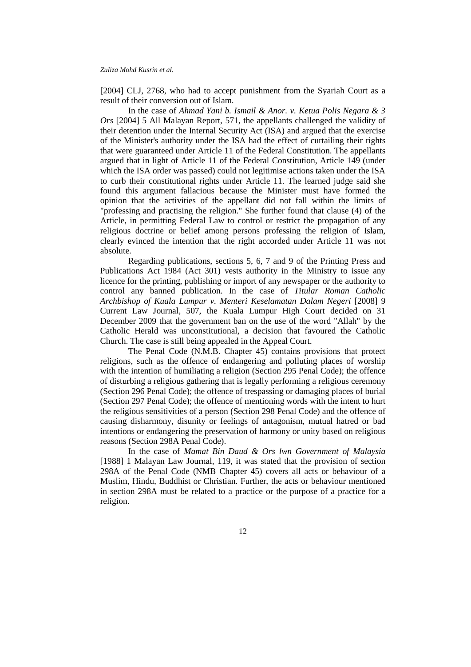[2004] CLJ, 2768, who had to accept punishment from the Syariah Court as a result of their conversion out of Islam.

In the case of *Ahmad Yani b. Ismail & Anor. v. Ketua Polis Negara & 3 Ors* [2004] 5 All Malayan Report, 571, the appellants challenged the validity of their detention under the Internal Security Act (ISA) and argued that the exercise of the Minister's authority under the ISA had the effect of curtailing their rights that were guaranteed under Article 11 of the Federal Constitution. The appellants argued that in light of Article 11 of the Federal Constitution, Article 149 (under which the ISA order was passed) could not legitimise actions taken under the ISA to curb their constitutional rights under Article 11. The learned judge said she found this argument fallacious because the Minister must have formed the opinion that the activities of the appellant did not fall within the limits of "professing and practising the religion." She further found that clause (4) of the Article, in permitting Federal Law to control or restrict the propagation of any religious doctrine or belief among persons professing the religion of Islam, clearly evinced the intention that the right accorded under Article 11 was not absolute.

Regarding publications, sections 5, 6, 7 and 9 of the Printing Press and Publications Act 1984 (Act 301) vests authority in the Ministry to issue any licence for the printing, publishing or import of any newspaper or the authority to control any banned publication. In the case of *Titular Roman Catholic Archbishop of Kuala Lumpur v. Menteri Keselamatan Dalam Negeri* [2008] 9 Current Law Journal, 507, the Kuala Lumpur High Court decided on 31 December 2009 that the government ban on the use of the word "Allah" by the Catholic Herald was unconstitutional, a decision that favoured the Catholic Church. The case is still being appealed in the Appeal Court.

The Penal Code (N.M.B. Chapter 45) contains provisions that protect religions, such as the offence of endangering and polluting places of worship with the intention of humiliating a religion (Section 295 Penal Code); the offence of disturbing a religious gathering that is legally performing a religious ceremony (Section 296 Penal Code); the offence of trespassing or damaging places of burial (Section 297 Penal Code); the offence of mentioning words with the intent to hurt the religious sensitivities of a person (Section 298 Penal Code) and the offence of causing disharmony, disunity or feelings of antagonism, mutual hatred or bad intentions or endangering the preservation of harmony or unity based on religious reasons (Section 298A Penal Code).

In the case of *Mamat Bin Daud & Ors lwn Government of Malaysia* [1988] 1 Malayan Law Journal, 119, it was stated that the provision of section 298A of the Penal Code (NMB Chapter 45) covers all acts or behaviour of a Muslim, Hindu, Buddhist or Christian. Further, the acts or behaviour mentioned in section 298A must be related to a practice or the purpose of a practice for a religion.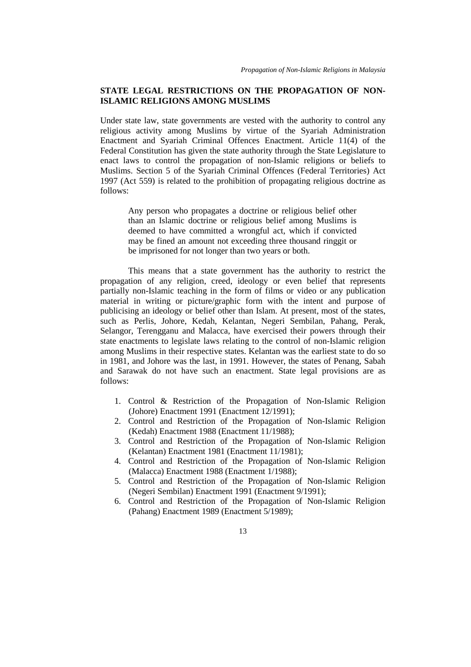# **STATE LEGAL RESTRICTIONS ON THE PROPAGATION OF NON-ISLAMIC RELIGIONS AMONG MUSLIMS**

Under state law, state governments are vested with the authority to control any religious activity among Muslims by virtue of the Syariah Administration Enactment and Syariah Criminal Offences Enactment. Article 11(4) of the Federal Constitution has given the state authority through the State Legislature to enact laws to control the propagation of non-Islamic religions or beliefs to Muslims. Section 5 of the Syariah Criminal Offences (Federal Territories) Act 1997 (Act 559) is related to the prohibition of propagating religious doctrine as follows:

Any person who propagates a doctrine or religious belief other than an Islamic doctrine or religious belief among Muslims is deemed to have committed a wrongful act, which if convicted may be fined an amount not exceeding three thousand ringgit or be imprisoned for not longer than two years or both.

This means that a state government has the authority to restrict the propagation of any religion, creed, ideology or even belief that represents partially non-Islamic teaching in the form of films or video or any publication material in writing or picture/graphic form with the intent and purpose of publicising an ideology or belief other than Islam. At present, most of the states, such as Perlis, Johore, Kedah, Kelantan, Negeri Sembilan, Pahang, Perak, Selangor, Terengganu and Malacca, have exercised their powers through their state enactments to legislate laws relating to the control of non-Islamic religion among Muslims in their respective states. Kelantan was the earliest state to do so in 1981, and Johore was the last, in 1991. However, the states of Penang, Sabah and Sarawak do not have such an enactment. State legal provisions are as follows:

- 1. Control & Restriction of the Propagation of Non-Islamic Religion (Johore) Enactment 1991 (Enactment 12/1991);
- 2. Control and Restriction of the Propagation of Non-Islamic Religion (Kedah) Enactment 1988 (Enactment 11/1988);
- 3. Control and Restriction of the Propagation of Non-Islamic Religion (Kelantan) Enactment 1981 (Enactment 11/1981);
- 4. Control and Restriction of the Propagation of Non-Islamic Religion (Malacca) Enactment 1988 (Enactment 1/1988);
- 5. Control and Restriction of the Propagation of Non-Islamic Religion (Negeri Sembilan) Enactment 1991 (Enactment 9/1991);
- 6. Control and Restriction of the Propagation of Non-Islamic Religion (Pahang) Enactment 1989 (Enactment 5/1989);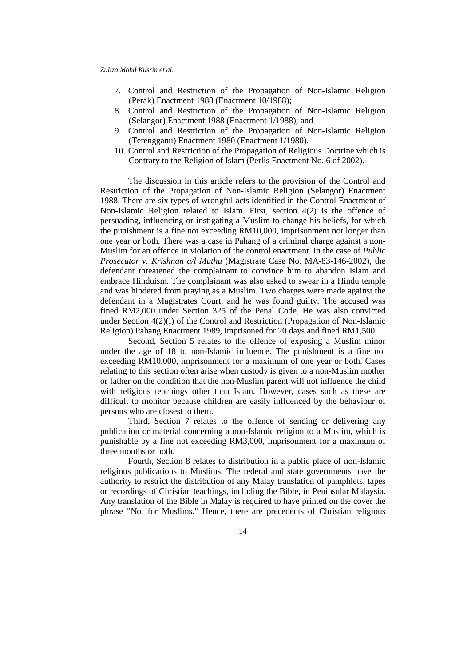- 7. Control and Restriction of the Propagation of Non-Islamic Religion (Perak) Enactment 1988 (Enactment 10/1988);
- 8. Control and Restriction of the Propagation of Non-Islamic Religion (Selangor) Enactment 1988 (Enactment 1/1988); and
- 9. Control and Restriction of the Propagation of Non-Islamic Religion (Terengganu) Enactment 1980 (Enactment 1/1980).
- 10. Control and Restriction of the Propagation of Religious Doctrine which is Contrary to the Religion of Islam (Perlis Enactment No. 6 of 2002).

The discussion in this article refers to the provision of the Control and Restriction of the Propagation of Non-Islamic Religion (Selangor) Enactment 1988. There are six types of wrongful acts identified in the Control Enactment of Non-Islamic Religion related to Islam. First, section 4(2) is the offence of persuading, influencing or instigating a Muslim to change his beliefs, for which the punishment is a fine not exceeding RM10,000, imprisonment not longer than one year or both. There was a case in Pahang of a criminal charge against a non-Muslim for an offence in violation of the control enactment. In the case of *Public Prosecutor v. Krishnan a/l Muthu* (Magistrate Case No. MA-83-146-2002), the defendant threatened the complainant to convince him to abandon Islam and embrace Hinduism. The complainant was also asked to swear in a Hindu temple and was hindered from praying as a Muslim. Two charges were made against the defendant in a Magistrates Court, and he was found guilty. The accused was fined RM2,000 under Section 325 of the Penal Code. He was also convicted under Section 4(2)(i) of the Control and Restriction (Propagation of Non-Islamic Religion) Pahang Enactment 1989, imprisoned for 20 days and fined RM1,500.

Second, Section 5 relates to the offence of exposing a Muslim minor under the age of 18 to non-Islamic influence. The punishment is a fine not exceeding RM10,000, imprisonment for a maximum of one year or both. Cases relating to this section often arise when custody is given to a non-Muslim mother or father on the condition that the non-Muslim parent will not influence the child with religious teachings other than Islam. However, cases such as these are difficult to monitor because children are easily influenced by the behaviour of persons who are closest to them.

Third, Section 7 relates to the offence of sending or delivering any publication or material concerning a non-Islamic religion to a Muslim, which is punishable by a fine not exceeding RM3,000, imprisonment for a maximum of three months or both.

Fourth, Section 8 relates to distribution in a public place of non-Islamic religious publications to Muslims. The federal and state governments have the authority to restrict the distribution of any Malay translation of pamphlets, tapes or recordings of Christian teachings, including the Bible, in Peninsular Malaysia. Any translation of the Bible in Malay is required to have printed on the cover the phrase "Not for Muslims." Hence, there are precedents of Christian religious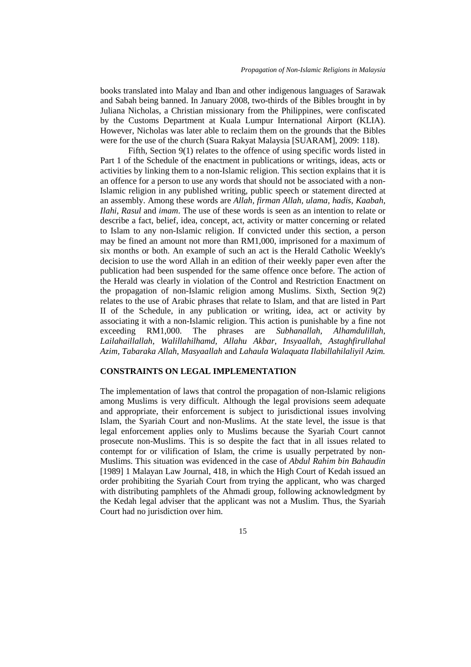books translated into Malay and Iban and other indigenous languages of Sarawak and Sabah being banned. In January 2008, two-thirds of the Bibles brought in by Juliana Nicholas, a Christian missionary from the Philippines, were confiscated by the Customs Department at Kuala Lumpur International Airport (KLIA). However, Nicholas was later able to reclaim them on the grounds that the Bibles were for the use of the church (Suara Rakyat Malaysia [SUARAM], 2009: 118).

Fifth, Section 9(1) relates to the offence of using specific words listed in Part 1 of the Schedule of the enactment in publications or writings, ideas, acts or activities by linking them to a non-Islamic religion. This section explains that it is an offence for a person to use any words that should not be associated with a non-Islamic religion in any published writing, public speech or statement directed at an assembly. Among these words are *Allah, firman Allah, ulama, hadis, Kaabah, Ilahi, Rasul* and *imam*. The use of these words is seen as an intention to relate or describe a fact, belief, idea, concept, act, activity or matter concerning or related to Islam to any non-Islamic religion. If convicted under this section, a person may be fined an amount not more than RM1,000, imprisoned for a maximum of six months or both. An example of such an act is the Herald Catholic Weekly's decision to use the word Allah in an edition of their weekly paper even after the publication had been suspended for the same offence once before. The action of the Herald was clearly in violation of the Control and Restriction Enactment on the propagation of non-Islamic religion among Muslims. Sixth, Section 9(2) relates to the use of Arabic phrases that relate to Islam, and that are listed in Part II of the Schedule, in any publication or writing, idea, act or activity by associating it with a non-Islamic religion. This action is punishable by a fine not exceeding RM1,000. The phrases are *Subhanallah, Alhamdulillah, Lailahaillallah, Walillahilhamd, Allahu Akbar, Insyaallah, Astaghfirullahal Azim, Tabaraka Allah, Masyaallah* and *Lahaula Walaquata Ilabillahilaliyil Azim.*

## **CONSTRAINTS ON LEGAL IMPLEMENTATION**

The implementation of laws that control the propagation of non-Islamic religions among Muslims is very difficult. Although the legal provisions seem adequate and appropriate, their enforcement is subject to jurisdictional issues involving Islam, the Syariah Court and non-Muslims. At the state level, the issue is that legal enforcement applies only to Muslims because the Syariah Court cannot prosecute non-Muslims. This is so despite the fact that in all issues related to contempt for or vilification of Islam, the crime is usually perpetrated by non-Muslims. This situation was evidenced in the case of *Abdul Rahim bin Bahaudin* [1989] 1 Malayan Law Journal, 418, in which the High Court of Kedah issued an order prohibiting the Syariah Court from trying the applicant, who was charged with distributing pamphlets of the Ahmadi group, following acknowledgment by the Kedah legal adviser that the applicant was not a Muslim. Thus, the Syariah Court had no jurisdiction over him.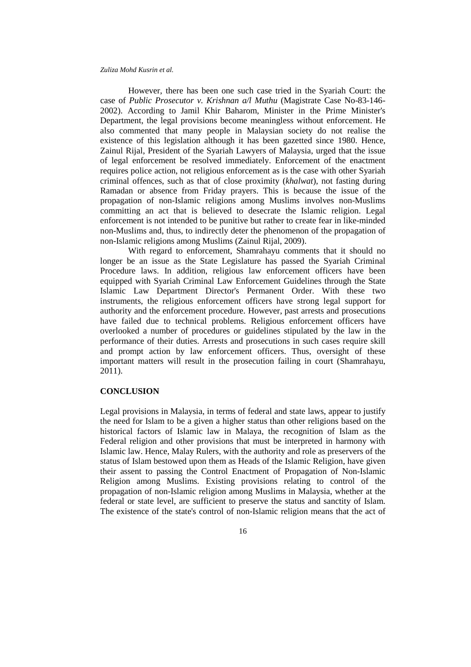However, there has been one such case tried in the Syariah Court: the case of *Public Prosecutor v. Krishnan a/l Muthu* (Magistrate Case No-83-146- 2002). According to Jamil Khir Baharom, Minister in the Prime Minister's Department, the legal provisions become meaningless without enforcement. He also commented that many people in Malaysian society do not realise the existence of this legislation although it has been gazetted since 1980. Hence, Zainul Rijal, President of the Syariah Lawyers of Malaysia, urged that the issue of legal enforcement be resolved immediately. Enforcement of the enactment requires police action, not religious enforcement as is the case with other Syariah criminal offences, such as that of close proximity (*khalwat*), not fasting during Ramadan or absence from Friday prayers. This is because the issue of the propagation of non-Islamic religions among Muslims involves non-Muslims committing an act that is believed to desecrate the Islamic religion. Legal enforcement is not intended to be punitive but rather to create fear in like-minded non-Muslims and, thus, to indirectly deter the phenomenon of the propagation of non-Islamic religions among Muslims (Zainul Rijal, 2009).

With regard to enforcement, Shamrahayu comments that it should no longer be an issue as the State Legislature has passed the Syariah Criminal Procedure laws. In addition, religious law enforcement officers have been equipped with Syariah Criminal Law Enforcement Guidelines through the State Islamic Law Department Director's Permanent Order. With these two instruments, the religious enforcement officers have strong legal support for authority and the enforcement procedure. However, past arrests and prosecutions have failed due to technical problems. Religious enforcement officers have overlooked a number of procedures or guidelines stipulated by the law in the performance of their duties. Arrests and prosecutions in such cases require skill and prompt action by law enforcement officers. Thus, oversight of these important matters will result in the prosecution failing in court (Shamrahayu, 2011).

#### **CONCLUSION**

Legal provisions in Malaysia, in terms of federal and state laws, appear to justify the need for Islam to be a given a higher status than other religions based on the historical factors of Islamic law in Malaya, the recognition of Islam as the Federal religion and other provisions that must be interpreted in harmony with Islamic law. Hence, Malay Rulers, with the authority and role as preservers of the status of Islam bestowed upon them as Heads of the Islamic Religion, have given their assent to passing the Control Enactment of Propagation of Non-Islamic Religion among Muslims. Existing provisions relating to control of the propagation of non-Islamic religion among Muslims in Malaysia, whether at the federal or state level, are sufficient to preserve the status and sanctity of Islam. The existence of the state's control of non-Islamic religion means that the act of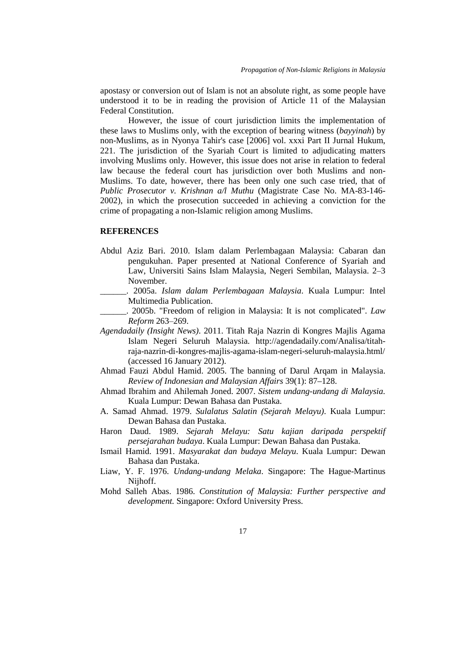apostasy or conversion out of Islam is not an absolute right, as some people have understood it to be in reading the provision of Article 11 of the Malaysian Federal Constitution.

However, the issue of court jurisdiction limits the implementation of these laws to Muslims only, with the exception of bearing witness (*bayyinah*) by non-Muslims, as in Nyonya Tahir's case [2006] vol. xxxi Part II Jurnal Hukum, 221. The jurisdiction of the Syariah Court is limited to adjudicating matters involving Muslims only. However, this issue does not arise in relation to federal law because the federal court has jurisdiction over both Muslims and non-Muslims. To date, however, there has been only one such case tried, that of *Public Prosecutor v. Krishnan a/l Muthu* (Magistrate Case No. MA-83-146- 2002), in which the prosecution succeeded in achieving a conviction for the crime of propagating a non-Islamic religion among Muslims.

## **REFERENCES**

- Abdul Aziz Bari. 2010. Islam dalam Perlembagaan Malaysia: Cabaran dan pengukuhan. Paper presented at National Conference of Syariah and Law, Universiti Sains Islam Malaysia, Negeri Sembilan, Malaysia. 2‒3 November.
- \_\_\_\_\_\_. 2005a. *Islam dalam Perlembagaan Malaysia*. Kuala Lumpur: Intel Multimedia Publication.
- \_\_\_\_\_\_. 2005b. "Freedom of religion in Malaysia: It is not complicated". *Law Reform* 263‒269.
- *Agendadaily (Insight News)*. 2011. Titah Raja Nazrin di Kongres Majlis Agama Islam Negeri Seluruh Malaysia. http://agendadaily.com/Analisa/titahraja-nazrin-di-kongres-majlis-agama-islam-negeri-seluruh-malaysia.html/ (accessed 16 January 2012).
- Ahmad Fauzi Abdul Hamid. 2005. The banning of Darul Arqam in Malaysia. *Review of Indonesian and Malaysian Affairs* 39(1): 87–128.
- Ahmad Ibrahim and Ahilemah Joned. 2007. *Sistem undang-undang di Malaysia*. Kuala Lumpur: Dewan Bahasa dan Pustaka.
- A. Samad Ahmad. 1979. *Sulalatus Salatin (Sejarah Melayu)*. Kuala Lumpur: Dewan Bahasa dan Pustaka.
- Haron Daud. 1989. *Sejarah Melayu: Satu kajian daripada perspektif persejarahan budaya*. Kuala Lumpur: Dewan Bahasa dan Pustaka.
- Ismail Hamid. 1991. *Masyarakat dan budaya Melayu*. Kuala Lumpur: Dewan Bahasa dan Pustaka.
- Liaw, Y. F. 1976. *Undang-undang Melaka*. Singapore: The Hague-Martinus Nijhoff.
- Mohd Salleh Abas. 1986. *Constitution of Malaysia: Further perspective and development.* Singapore: Oxford University Press.